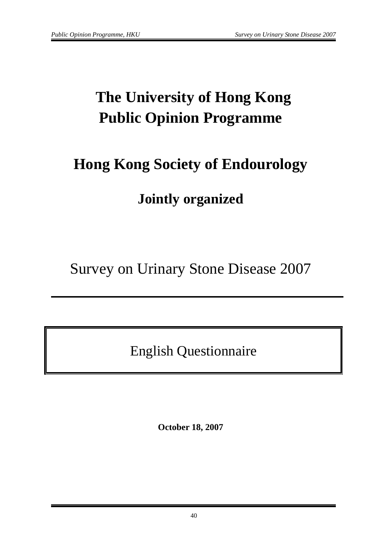# **The University of Hong Kong Public Opinion Programme**

# **Hong Kong Society of Endourology**

## **Jointly organized**

Survey on Urinary Stone Disease 2007

English Questionnaire

**October 18, 2007**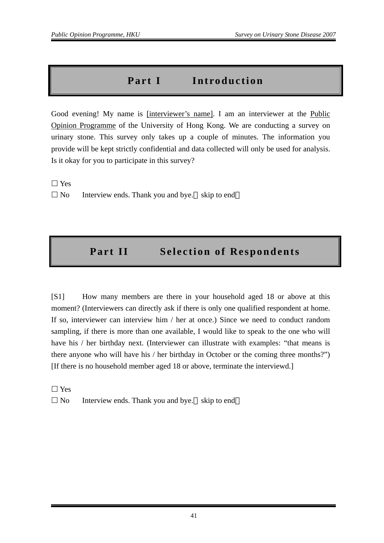#### Part I Introduction

Good evening! My name is [interviewer's name]. I am an interviewer at the Public Opinion Programme of the University of Hong Kong. We are conducting a survey on urinary stone. This survey only takes up a couple of minutes. The information you provide will be kept strictly confidential and data collected will only be used for analysis. Is it okay for you to participate in this survey?

□ Yes

 $\square$  No Interview ends. Thank you and bye. skip to end

## **Part II Selection of Respondents**

[S1] How many members are there in your household aged 18 or above at this moment? (Interviewers can directly ask if there is only one qualified respondent at home. If so, interviewer can interview him / her at once.) Since we need to conduct random sampling, if there is more than one available, I would like to speak to the one who will have his / her birthday next. (Interviewer can illustrate with examples: "that means is there anyone who will have his / her birthday in October or the coming three months?") [If there is no household member aged 18 or above, terminate the interviewd.]

 $\Box$  Yes

 $\square$  No Interview ends. Thank you and bye. skip to end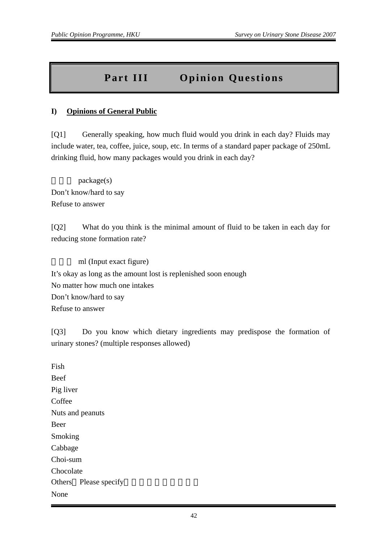### **Part III Opinion Questions**

#### **I) Opinions of General Public**

[Q1] Generally speaking, how much fluid would you drink in each day? Fluids may include water, tea, coffee, juice, soup, etc. In terms of a standard paper package of 250mL drinking fluid, how many packages would you drink in each day?

package(s) Don't know/hard to say Refuse to answer

[Q2] What do you think is the minimal amount of fluid to be taken in each day for reducing stone formation rate?

ml (Input exact figure) It's okay as long as the amount lost is replenished soon enough No matter how much one intakes Don't know/hard to say Refuse to answer

[Q3] Do you know which dietary ingredients may predispose the formation of urinary stones? (multiple responses allowed)

Fish Beef Pig liver **Coffee** Nuts and peanuts Beer Smoking Cabbage Choi-sum Chocolate Others Please specify None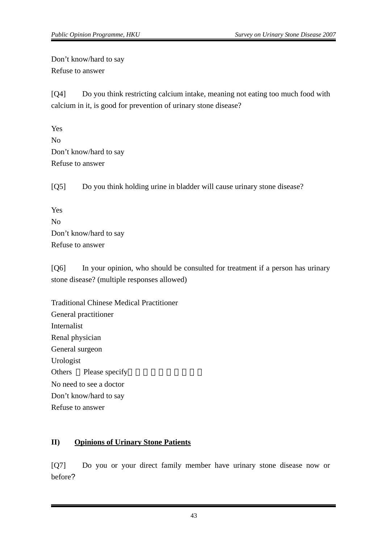Don't know/hard to say Refuse to answer

[Q4] Do you think restricting calcium intake, meaning not eating too much food with calcium in it, is good for prevention of urinary stone disease?

Yes  $N<sub>0</sub>$ Don't know/hard to say Refuse to answer

[Q5] Do you think holding urine in bladder will cause urinary stone disease?

Yes No Don't know/hard to say Refuse to answer

[Q6] In your opinion, who should be consulted for treatment if a person has urinary stone disease? (multiple responses allowed)

Traditional Chinese Medical Practitioner General practitioner Internalist Renal physician General surgeon Urologist Others Please specify No need to see a doctor Don't know/hard to say Refuse to answer

#### **II) Opinions of Urinary Stone Patients**

[Q7] Do you or your direct family member have urinary stone disease now or before?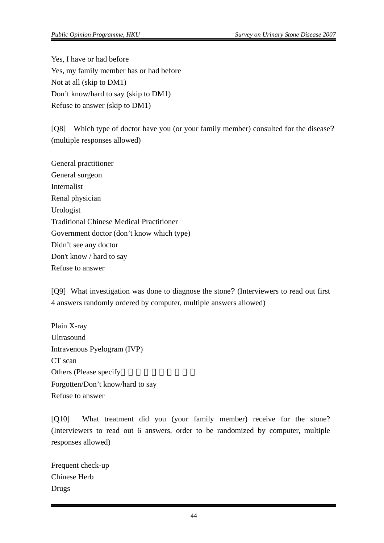Yes, I have or had before Yes, my family member has or had before Not at all (skip to DM1) Don't know/hard to say (skip to DM1) Refuse to answer (skip to DM1)

[Q8] Which type of doctor have you (or your family member) consulted for the disease? (multiple responses allowed)

General practitioner General surgeon Internalist Renal physician Urologist Traditional Chinese Medical Practitioner Government doctor (don't know which type) Didn't see any doctor Don't know / hard to say Refuse to answer

[Q9] What investigation was done to diagnose the stone? (Interviewers to read out first 4 answers randomly ordered by computer, multiple answers allowed)

Plain X-ray Ultrasound Intravenous Pyelogram (IVP) CT scan Others (Please specify: Forgotten/Don't know/hard to say Refuse to answer

[Q10] What treatment did you (your family member) receive for the stone? (Interviewers to read out 6 answers, order to be randomized by computer, multiple responses allowed)

Frequent check-up Chinese Herb Drugs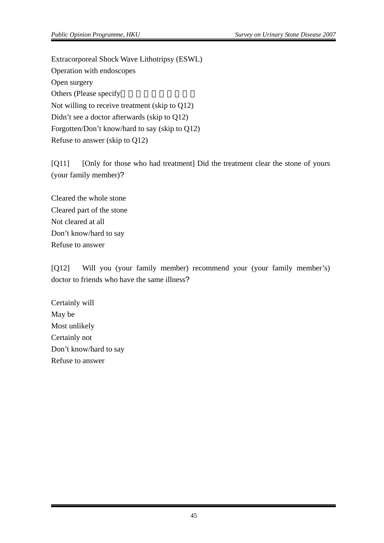Extracorporeal Shock Wave Lithotripsy (ESWL) Operation with endoscopes Open surgery Others (Please specify: Not willing to receive treatment (skip to Q12) Didn't see a doctor afterwards (skip to Q12) Forgotten/Don't know/hard to say (skip to Q12) Refuse to answer (skip to Q12)

[Q11] [Only for those who had treatment] Did the treatment clear the stone of yours (your family member)?

Cleared the whole stone Cleared part of the stone Not cleared at all Don't know/hard to say Refuse to answer

[Q12] Will you (your family member) recommend your (your family member's) doctor to friends who have the same illness?

Certainly will May be Most unlikely Certainly not Don't know/hard to say Refuse to answer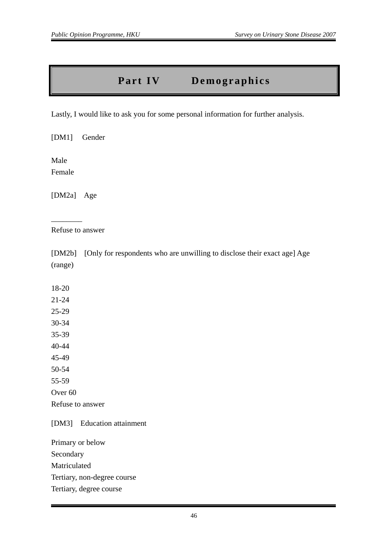#### **Part IV Demographics**

Lastly, I would like to ask you for some personal information for further analysis.

[DM1] Gender

Male Female

[DM2a] Age

\_\_\_\_\_\_\_\_

Refuse to answer

[DM2b] [Only for respondents who are unwilling to disclose their exact age] Age (range)

18-20

21-24

25-29

30-34

35-39

40-44

45-49

50-54

55-59

Over 60

Refuse to answer

[DM3] Education attainment

Primary or below Secondary Matriculated Tertiary, non-degree course Tertiary, degree course